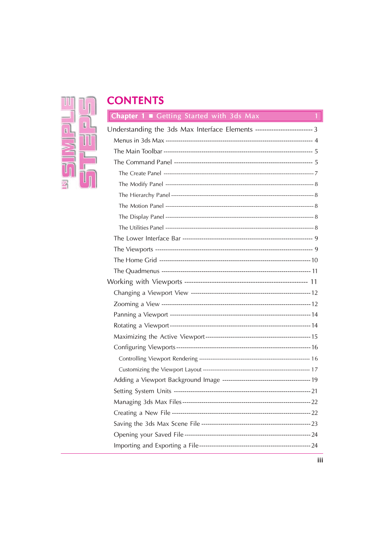# 

# **CONTENTS**

| <b>Chapter 1 ■</b> Getting Started with 3ds Max                          |      |
|--------------------------------------------------------------------------|------|
| Understanding the 3ds Max Interface Elements ------------------------- 3 |      |
|                                                                          |      |
|                                                                          |      |
|                                                                          |      |
|                                                                          |      |
|                                                                          |      |
|                                                                          |      |
|                                                                          |      |
|                                                                          |      |
|                                                                          |      |
|                                                                          |      |
|                                                                          |      |
|                                                                          |      |
|                                                                          |      |
|                                                                          |      |
|                                                                          |      |
|                                                                          |      |
|                                                                          |      |
|                                                                          |      |
|                                                                          |      |
|                                                                          |      |
|                                                                          |      |
|                                                                          |      |
|                                                                          |      |
|                                                                          |      |
|                                                                          | - 22 |
|                                                                          |      |
|                                                                          |      |
|                                                                          |      |
|                                                                          |      |
|                                                                          |      |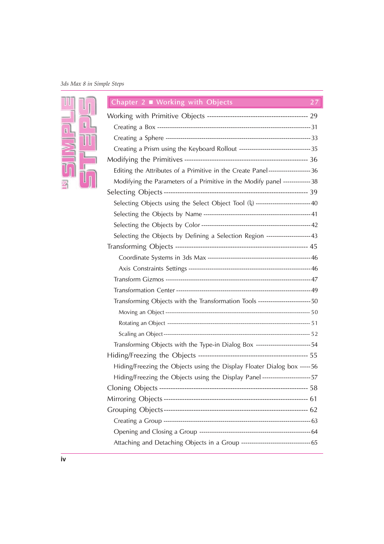# 3ds Max 8 in Simple Steps



| Chapter 2 $\blacksquare$ Working with Objects                                      | 27 |
|------------------------------------------------------------------------------------|----|
|                                                                                    |    |
|                                                                                    |    |
|                                                                                    |    |
| Creating a Prism using the Keyboard Rollout ----------------------------------- 35 |    |
|                                                                                    |    |
| Editing the Attributes of a Primitive in the Create Panel---------------------36   |    |
| Modifying the Parameters of a Primitive in the Modify panel -------------38        |    |
|                                                                                    |    |
| Selecting Objects using the Select Object Tool (1) --------------------------40    |    |
|                                                                                    |    |
|                                                                                    |    |
| Selecting the Objects by Defining a Selection Region --------------------43        |    |
|                                                                                    |    |
|                                                                                    |    |
|                                                                                    |    |
|                                                                                    |    |
|                                                                                    |    |
| Transforming Objects with the Transformation Tools ------------------------- 50    |    |
|                                                                                    |    |
|                                                                                    |    |
|                                                                                    |    |
| Transforming Objects with the Type-in Dialog Box --------------------------54      |    |
|                                                                                    |    |
| Hiding/Freezing the Objects using the Display Floater Dialog box ----- 56          |    |
| Hiding/Freezing the Objects using the Display Panel -----------------------57      |    |
|                                                                                    |    |
|                                                                                    |    |
|                                                                                    |    |
|                                                                                    |    |
|                                                                                    |    |
|                                                                                    |    |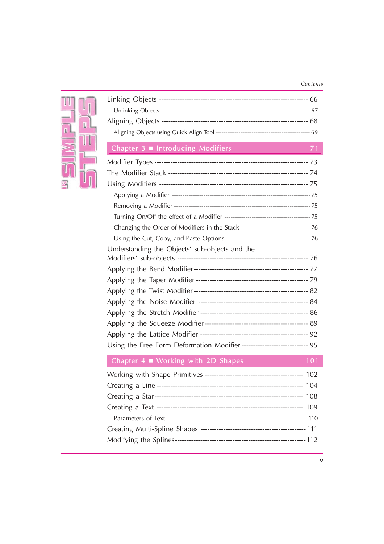### Contents



| Chapter 3 Introducing Modifiers                                          | 71  |
|--------------------------------------------------------------------------|-----|
|                                                                          |     |
|                                                                          |     |
|                                                                          |     |
|                                                                          |     |
|                                                                          |     |
|                                                                          |     |
|                                                                          |     |
|                                                                          |     |
| Understanding the Objects' sub-objects and the                           |     |
|                                                                          |     |
|                                                                          |     |
|                                                                          |     |
|                                                                          |     |
|                                                                          |     |
|                                                                          |     |
|                                                                          |     |
| Using the Free Form Deformation Modifier ---------------------------- 95 |     |
| Chapter 4 Working with 2D Shapes                                         | 101 |
|                                                                          |     |
|                                                                          | 104 |
|                                                                          |     |
|                                                                          |     |
|                                                                          |     |
|                                                                          |     |

Modifying the Splines---------------------------------------------------------112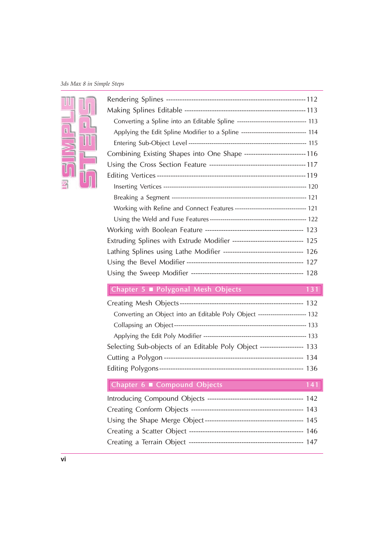# 3ds Max 8 in Simple Steps



| Converting a Spline into an Editable Spline -------------------------------- 113  |
|-----------------------------------------------------------------------------------|
| Applying the Edit Spline Modifier to a Spline ------------------------------- 114 |
|                                                                                   |
| Combining Existing Shapes into One Shape --------------------------- 116          |
|                                                                                   |
|                                                                                   |
|                                                                                   |
|                                                                                   |
| Working with Refine and Connect Features --------------------------------- 121    |
|                                                                                   |
|                                                                                   |
| Extruding Splines with Extrude Modifier ------------------------------ 125        |
| Lathing Splines using Lathe Modifier ---------------------------------- 126       |
|                                                                                   |
|                                                                                   |
| Chapter 5 ■ Polygonal Mesh Objects<br>131                                         |
|                                                                                   |
| Converting an Object into an Editable Poly Object ---------------------- 132      |
|                                                                                   |
|                                                                                   |
| Selecting Sub-objects of an Editable Poly Object ------------------ 133           |
|                                                                                   |
|                                                                                   |
| Chapter 6 Compound Objects<br>141                                                 |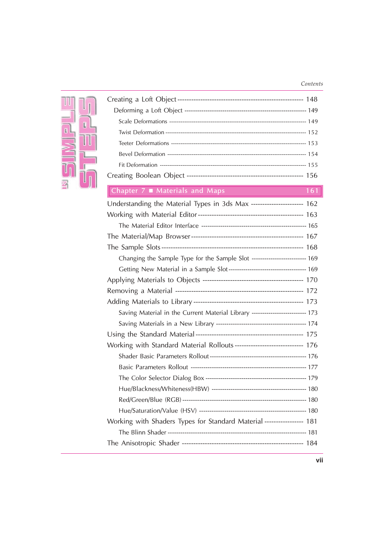## Contents

| Ш  |   |
|----|---|
| ī, | П |
|    |   |
|    |   |
|    |   |

| Chapter 7 Materials and Maps                                                  | 161 |
|-------------------------------------------------------------------------------|-----|
| Understanding the Material Types in 3ds Max ---------------------- 162        |     |
|                                                                               |     |
|                                                                               |     |
|                                                                               |     |
|                                                                               |     |
| Changing the Sample Type for the Sample Slot -------------------------- 169   |     |
|                                                                               |     |
|                                                                               |     |
|                                                                               |     |
|                                                                               |     |
| Saving Material in the Current Material Library ------------------------- 173 |     |
|                                                                               |     |
|                                                                               |     |
| Working with Standard Material Rollouts ----------------------------- 176     |     |
|                                                                               |     |
|                                                                               |     |
|                                                                               |     |
|                                                                               |     |
|                                                                               |     |
|                                                                               |     |
| Working with Shaders Types for Standard Material ---------------- 181         |     |
|                                                                               |     |
|                                                                               |     |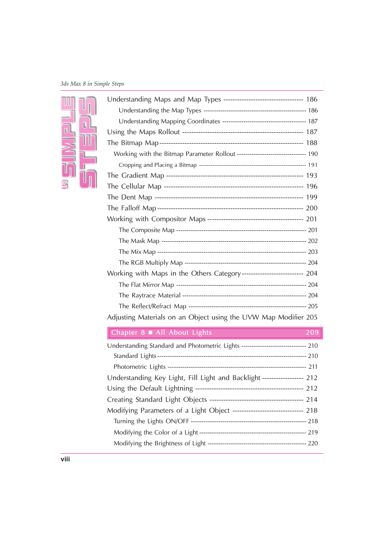# 3ds Max 8 in Simple Steps



| Working with the Bitmap Parameter Rollout -------------------------------- 190   |     |
|----------------------------------------------------------------------------------|-----|
|                                                                                  |     |
|                                                                                  |     |
|                                                                                  |     |
|                                                                                  |     |
|                                                                                  |     |
|                                                                                  |     |
|                                                                                  |     |
|                                                                                  |     |
|                                                                                  |     |
|                                                                                  |     |
| Working with Maps in the Others Category-------------------------- 204           |     |
|                                                                                  |     |
|                                                                                  |     |
|                                                                                  |     |
| Adjusting Materials on an Object using the UVW Map Modifier 205                  |     |
| Chapter 8 All About Lights                                                       | 209 |
| Understanding Standard and Photometric Lights ------------------------------ 210 |     |
|                                                                                  |     |
|                                                                                  |     |
| Understanding Key Light, Fill Light and Backlight ----------------- 212          |     |
|                                                                                  |     |
|                                                                                  |     |
| Modifying Parameters of a Light Object ----------------------------- 218         |     |
|                                                                                  |     |
|                                                                                  |     |
|                                                                                  |     |

Modifying the Brightness of Light ----------------------------------------------- 220

Understanding Maps and Map Types ----------------------------------- 186